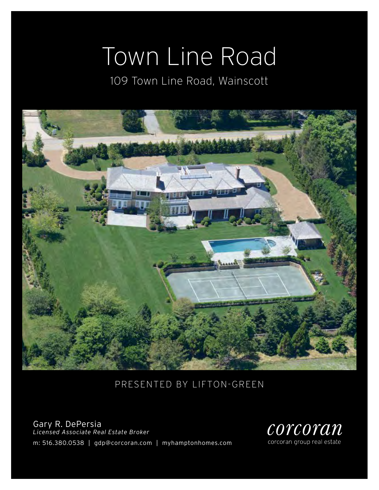# Town Line Road

109 Town Line Road, Wainscott



## presented by Lifton-Green

Gary R. DePersia *Licensed Associate Real Estate Broker* m: 516.380.0538 | gdp@corcoran.com | myhamptonhomes.com

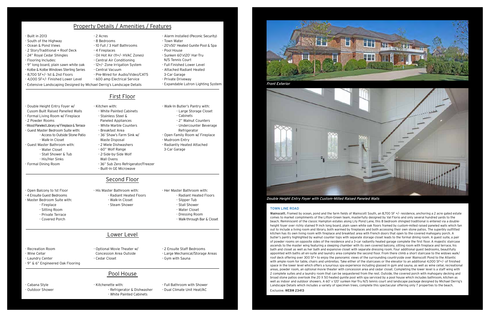#### Town Line Road

Wainscott. Framed by ocean, pond and the farm fields of Wainscott South, an 8,700 SF +/- residence, anchoring a 2 acre gated estate comes to market compliments of the Lifton-Green team, masterfully designed by Val Florio and only several hundred yards to the beach. Reminiscent of the classic Hampton estates along Lily Pond Lane, this 8 bedroom shingled traditional is entered via a doubleheight foyer over richly stained 9 inch long board, plain sawn white oak floors framed by custom-milled raised paneled walls which fan out to include a living room and library, both warmed by fireplaces and both accessing their own stone patios. The superbly outfitted kitchen has its own living room with fireplace and breakfast area with French doors that open to the covered mahogany porch. A butler's pantry highlighted by walnut counter tops with separate storage closet leads to the formal dining room. A guest suite, a pair of powder rooms on opposite sides of the residence and a 3-car radiantly heated garage complete the first floor. A majestic staircase ascends to the master wing featuring a sleeping chamber with its own covered balcony, sitting room with fireplace and terrace, his bath and closet as well as her bath and expansive closet with separate dressing room. Four additional guest bedrooms, beautifully appointed with baths all en-suite and laundry area complete the second floor. From there climb a short staircase to the widows walk/ roof deck offering over 300 SF+ to enjoy the panoramic views of the surrounding countryside over Wainscott Pond to the Atlantic with ample room for table, chairs and umbrellas. Take either of the staircases or the elevator to an additional 4,000 SF+/- of finished space in the lower level which offers a luxurious spa experience including glassed in gym and sauna, as well as wine cellar, recreational areas, powder room, an optional movie theater with concession area and cedar closet. Completing the lower level is a staff wing with 2 complete suites and a laundry room that can be sequestered from the rest. Outside, the covered porch with mahogany decking and broad stone patios overlook the 20 X 50 heated gunite pool with spa serviced by a pool house which includes bathroom, kitchen as well as indoor and outdoor showers. A 60' x 120' sunken Har-Tru N/S tennis court and landscape package designed by Michael Derrig's Landscape Details which includes a variety of specimen trees, complete this spectacular offering only 7 properties to the beach. Exclusive. WEB# 23413

### Property Details / Amenities / Features

#### Second Floor

#### Lower Level

#### Pool House

Double Height Entry Foyer with Custom-Milled Raised Paneled Walls





#### - Built in 2013

- 2 Acres - 8 Bedrooms
	- 10 Full / 3 Half Bathrooms
	- 4 Fireplaces
	- Oil Hot Air (11+/- HVAC Zones)
	- Central Air Conditioning
	- 12+/- Zone Irrigation System
	- Central Vacuum
	- Pre-Wired for Audio/Video/CAT5
	- 600 amp Electrical Service
- 3-Car Garage - Private Driveway

- Alarm Installed (Peconic Security)

- Town Water

- 20'x50' Heated Gunite Pool & Spa

- Pool House

- First Floor
- Kitchen with:
- White Painted Cabinets - Stainless Steel &
- Paneled Appliances
- White Marble Counters
- Breakfast Area
- 36' Shaw's Farm Sink w/
- Waste Disposal
- 
- 
- 
- 36" Sub Zero Refrigerator/Freezer
- Built-In GE Microwave

- Sunken 60'x120' Har-Tru N/S Tennis Court - Full Finished Lower Level - Attached Radiant Heated

- Expandable Lutron Lighting System

- Double Height Entry Foyer w/
- Cusom Built Raised Panelled Walls
- Formal Living Room w/ Fireplace
- 2 Powder Rooms
- Wood Paneled Library w/ Fireplace & Terrace
- Guest Master Bedroom Suite with:
- Access to Outside Stone Patio
	- Walk-in Closet
- Guest Master Bathroom with:
	- Water Closet
	- Stall Shower & Tub
- His/Her Sinks
- Formal Dining Room
- South of the Highway
- Ocean & Pond Views
- 2 StoryTraditional + Roof Deck
- 24" Royal Cedar Shingles
- Flooring Includes:
- 9" long board, plain sawn white oak
- Kolbe & Kolbe Windows Sterling Series
- 8,700 SF+/- 1st & 2nd Floors
- 4,000 SF+/- Finished Lower Level
- Extensive Landscaping Designed by Michael Derrig's Landscape Details

- Undercounter Beverage
- Refrigerator
- Open Family Room w/ Fireplace
- Mudroom Entry
- Radiantly Heated Attached 3-Car Garage
- 
- Wall Ovens
- 
- 
- 2 Miele Dishwashers - 60" Wolf Range - 2-Side-by-Side Wolf



- Walk-In Butler's Pantry with:

#### - Large Storage Closet - Cabinets - 2" Walnut Counters

- Open Balcony to 1st Floor - 4 Ensuite Guest Bedrooms - Master Bedroom Suite with: - Fireplace - Sitting Room - Private Terrace - Covered Porch

- His Master Bathroom with: - Radiant Heated Floors
	- Walk-in Closet - Steam Shower
- Her Master Bathroom with: - Radiant Heated Floors
	- Slipper Tub
	- Stall Shower
	- Water Closet
	- Dressing Room
	- Walk-through Bar & Closet
	-

- Recreation Room
- Wine Cellar
- Laundry Center
- 9" & 6" Engineered Oak Flooring

- Optional Movie Theater w/

#### Concession Area Outside - Cedar Closet

- 2 Ensuite Staff Bedrooms - Large Mechanical/Storage Areas - Gym with Sauna

- Cabana Style - Outdoor Shower

- Kitchenette with: - Refrigerator & Dishwasher - White Painted Cabinets

- Full Bathroom with Shower - Dual Climate Unit Heat/AC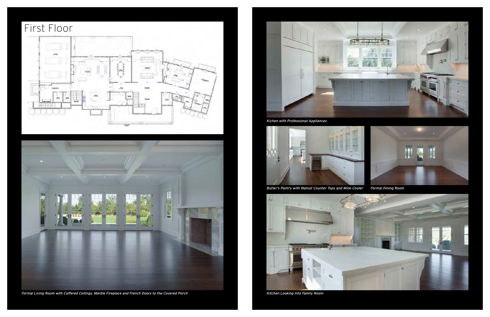



Formal Living Room with Coffered Ceilings, Marble Fireplace and French Doors to the Covered Porch



Kichen with Professional Appliances



Butler's Pantry with Walnut Counter Tops and Wine Cooler Formal Dining Room



Kitchen Looking Into Family Room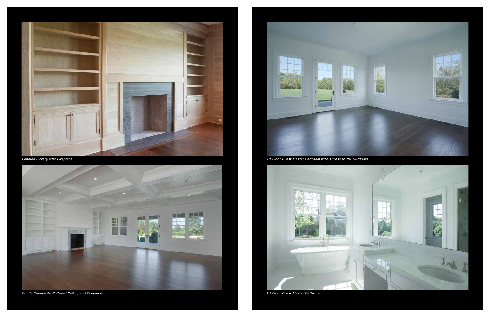





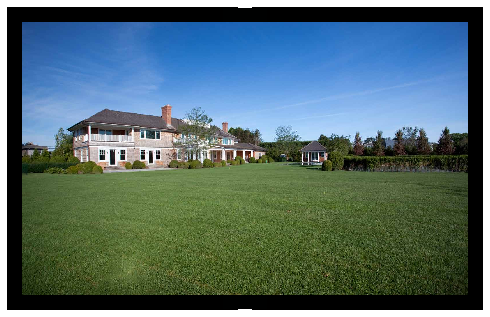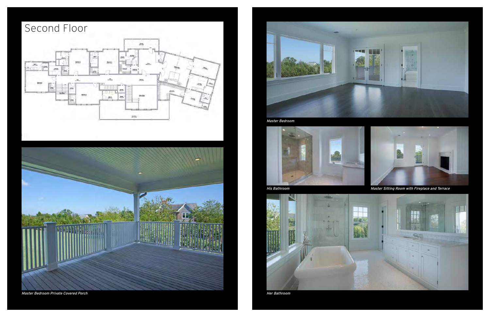



Master Bedroom Private Covered Porch



Master Bedroom

Her Bathroom



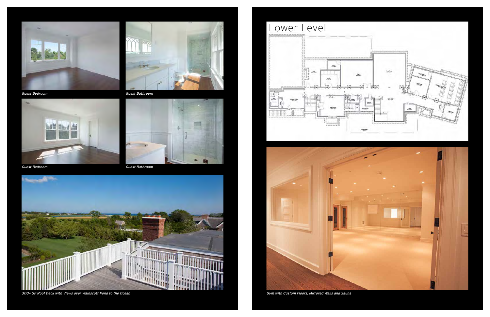









Guest Bedroom

Guest Bathroom



Guest Bathroom



300+ SF Roof Deck with Views over Wainscott Pond to the Ocean Gym with Custom Floors, Mirrored Walls and Sauna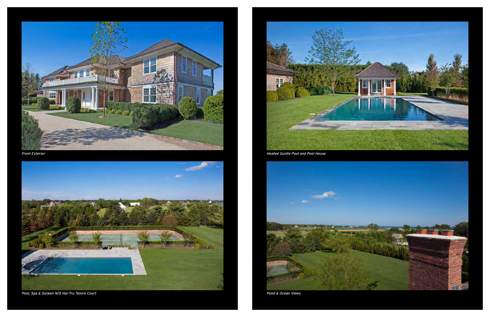





Front Exterior **Front Exterior** Heated Gunite Pool and Pool House